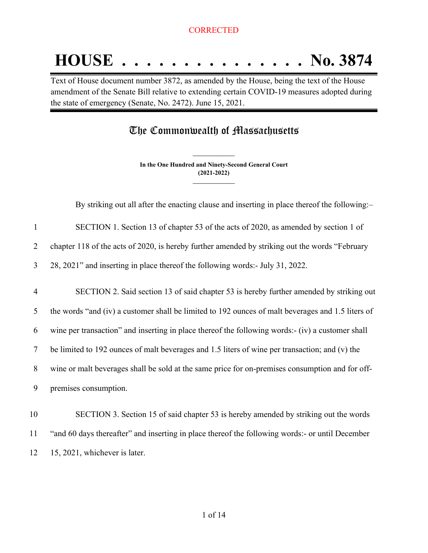# **HOUSE . . . . . . . . . . . . . . . No. 3874**

Text of House document number 3872, as amended by the House, being the text of the House amendment of the Senate Bill relative to extending certain COVID-19 measures adopted during the state of emergency (Senate, No. 2472). June 15, 2021.

# The Commonwealth of Massachusetts

**In the One Hundred and Ninety-Second General Court (2021-2022) \_\_\_\_\_\_\_\_\_\_\_\_\_\_\_**

**\_\_\_\_\_\_\_\_\_\_\_\_\_\_\_**

By striking out all after the enacting clause and inserting in place thereof the following:–

| SECTION 1. Section 13 of chapter 53 of the acts of 2020, as amended by section 1 of |
|-------------------------------------------------------------------------------------|
|                                                                                     |

2 chapter 118 of the acts of 2020, is hereby further amended by striking out the words "February

3 28, 2021" and inserting in place thereof the following words:- July 31, 2022.

 SECTION 2. Said section 13 of said chapter 53 is hereby further amended by striking out the words "and (iv) a customer shall be limited to 192 ounces of malt beverages and 1.5 liters of wine per transaction" and inserting in place thereof the following words:- (iv) a customer shall be limited to 192 ounces of malt beverages and 1.5 liters of wine per transaction; and (v) the wine or malt beverages shall be sold at the same price for on-premises consumption and for off-premises consumption.

10 SECTION 3. Section 15 of said chapter 53 is hereby amended by striking out the words 11 "and 60 days thereafter" and inserting in place thereof the following words:- or until December 12 15, 2021, whichever is later.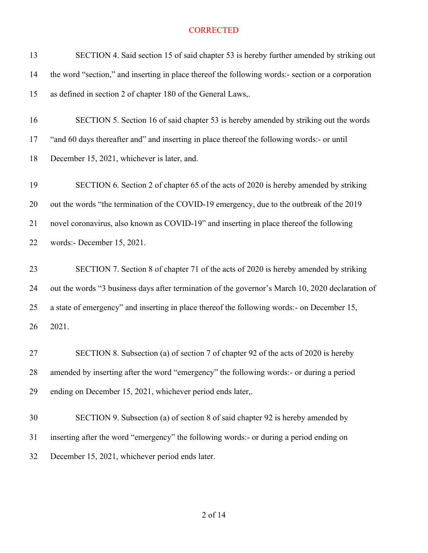| 13 | SECTION 4. Said section 15 of said chapter 53 is hereby further amended by striking out           |
|----|---------------------------------------------------------------------------------------------------|
| 14 | the word "section," and inserting in place thereof the following words:- section or a corporation |
| 15 | as defined in section 2 of chapter 180 of the General Laws,.                                      |
| 16 | SECTION 5. Section 16 of said chapter 53 is hereby amended by striking out the words              |
| 17 | "and 60 days thereafter and" and inserting in place thereof the following words:- or until        |
| 18 | December 15, 2021, whichever is later, and.                                                       |
| 19 | SECTION 6. Section 2 of chapter 65 of the acts of 2020 is hereby amended by striking              |
| 20 | out the words "the termination of the COVID-19 emergency, due to the outbreak of the 2019         |
| 21 | novel coronavirus, also known as COVID-19" and inserting in place thereof the following           |
| 22 | words:- December 15, 2021.                                                                        |
| 23 | SECTION 7. Section 8 of chapter 71 of the acts of 2020 is hereby amended by striking              |
| 24 | out the words "3 business days after termination of the governor's March 10, 2020 declaration of  |
| 25 | a state of emergency" and inserting in place thereof the following words:- on December 15,        |
| 26 | 2021.                                                                                             |
| 27 | SECTION 8. Subsection (a) of section 7 of chapter 92 of the acts of 2020 is hereby                |
| 28 | amended by inserting after the word "emergency" the following words:- or during a period          |
| 29 | ending on December 15, 2021, whichever period ends later,.                                        |
| 30 | SECTION 9. Subsection (a) of section 8 of said chapter 92 is hereby amended by                    |
| 31 | inserting after the word "emergency" the following words:- or during a period ending on           |
| 32 | December 15, 2021, whichever period ends later.                                                   |
|    |                                                                                                   |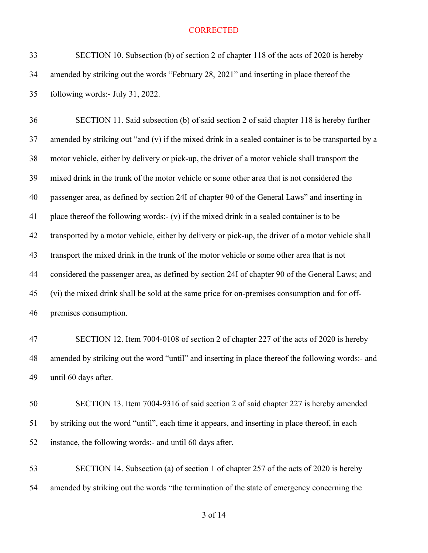SECTION 10. Subsection (b) of section 2 of chapter 118 of the acts of 2020 is hereby amended by striking out the words "February 28, 2021" and inserting in place thereof the following words:- July 31, 2022.

 SECTION 11. Said subsection (b) of said section 2 of said chapter 118 is hereby further amended by striking out "and (v) if the mixed drink in a sealed container is to be transported by a motor vehicle, either by delivery or pick-up, the driver of a motor vehicle shall transport the mixed drink in the trunk of the motor vehicle or some other area that is not considered the passenger area, as defined by section 24I of chapter 90 of the General Laws" and inserting in place thereof the following words:- (v) if the mixed drink in a sealed container is to be transported by a motor vehicle, either by delivery or pick-up, the driver of a motor vehicle shall transport the mixed drink in the trunk of the motor vehicle or some other area that is not considered the passenger area, as defined by section 24I of chapter 90 of the General Laws; and (vi) the mixed drink shall be sold at the same price for on-premises consumption and for off-premises consumption.

 SECTION 12. Item 7004-0108 of section 2 of chapter 227 of the acts of 2020 is hereby amended by striking out the word "until" and inserting in place thereof the following words:- and until 60 days after.

 SECTION 13. Item 7004-9316 of said section 2 of said chapter 227 is hereby amended by striking out the word "until", each time it appears, and inserting in place thereof, in each instance, the following words:- and until 60 days after.

 SECTION 14. Subsection (a) of section 1 of chapter 257 of the acts of 2020 is hereby amended by striking out the words "the termination of the state of emergency concerning the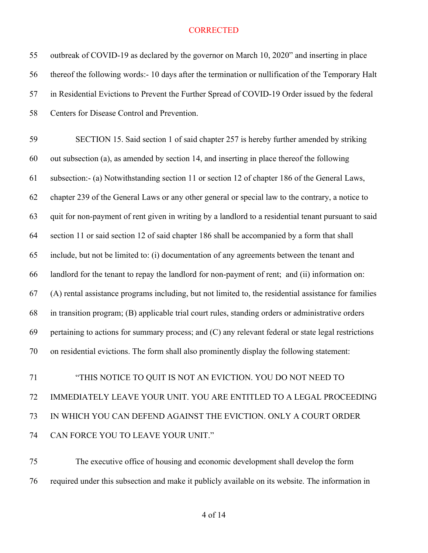| 55 | outbreak of COVID-19 as declared by the governor on March 10, 2020" and inserting in place            |
|----|-------------------------------------------------------------------------------------------------------|
| 56 | thereof the following words:- 10 days after the termination or nullification of the Temporary Halt    |
| 57 | in Residential Evictions to Prevent the Further Spread of COVID-19 Order issued by the federal        |
| 58 | Centers for Disease Control and Prevention.                                                           |
| 59 | SECTION 15. Said section 1 of said chapter 257 is hereby further amended by striking                  |
| 60 | out subsection (a), as amended by section 14, and inserting in place thereof the following            |
| 61 | subsection:- (a) Notwithstanding section 11 or section 12 of chapter 186 of the General Laws,         |
| 62 | chapter 239 of the General Laws or any other general or special law to the contrary, a notice to      |
| 63 | quit for non-payment of rent given in writing by a landlord to a residential tenant pursuant to said  |
| 64 | section 11 or said section 12 of said chapter 186 shall be accompanied by a form that shall           |
| 65 | include, but not be limited to: (i) documentation of any agreements between the tenant and            |
| 66 | landlord for the tenant to repay the landlord for non-payment of rent; and (ii) information on:       |
| 67 | (A) rental assistance programs including, but not limited to, the residential assistance for families |
| 68 | in transition program; (B) applicable trial court rules, standing orders or administrative orders     |
| 69 | pertaining to actions for summary process; and (C) any relevant federal or state legal restrictions   |
| 70 | on residential evictions. The form shall also prominently display the following statement:            |
| 71 | "THIS NOTICE TO QUIT IS NOT AN EVICTION. YOU DO NOT NEED TO                                           |
| 72 | IMMEDIATELY LEAVE YOUR UNIT. YOU ARE ENTITLED TO A LEGAL PROCEEDING                                   |
| 73 | IN WHICH YOU CAN DEFEND AGAINST THE EVICTION. ONLY A COURT ORDER                                      |
| 74 | CAN FORCE YOU TO LEAVE YOUR UNIT."                                                                    |
|    |                                                                                                       |

 The executive office of housing and economic development shall develop the form required under this subsection and make it publicly available on its website. The information in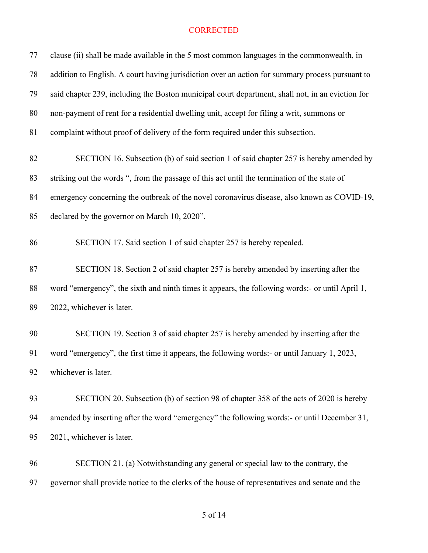| 77 | clause (ii) shall be made available in the 5 most common languages in the commonwealth, in       |
|----|--------------------------------------------------------------------------------------------------|
| 78 | addition to English. A court having jurisdiction over an action for summary process pursuant to  |
| 79 | said chapter 239, including the Boston municipal court department, shall not, in an eviction for |
| 80 | non-payment of rent for a residential dwelling unit, accept for filing a writ, summons or        |
| 81 | complaint without proof of delivery of the form required under this subsection.                  |
| 82 | SECTION 16. Subsection (b) of said section 1 of said chapter 257 is hereby amended by            |
| 83 | striking out the words ", from the passage of this act until the termination of the state of     |
| 84 | emergency concerning the outbreak of the novel coronavirus disease, also known as COVID-19,      |
| 85 | declared by the governor on March 10, 2020".                                                     |
| 86 | SECTION 17. Said section 1 of said chapter 257 is hereby repealed.                               |
| 87 | SECTION 18. Section 2 of said chapter 257 is hereby amended by inserting after the               |
| 88 | word "emergency", the sixth and ninth times it appears, the following words:- or until April 1,  |
| 89 | 2022, whichever is later.                                                                        |
| 90 | SECTION 19. Section 3 of said chapter 257 is hereby amended by inserting after the               |
| 91 | word "emergency", the first time it appears, the following words:- or until January 1, 2023,     |
| 92 | whichever is later.                                                                              |
| 93 | SECTION 20. Subsection (b) of section 98 of chapter 358 of the acts of 2020 is hereby            |
| 94 | amended by inserting after the word "emergency" the following words:- or until December 31,      |
| 95 | 2021, whichever is later.                                                                        |
| 96 | SECTION 21. (a) Notwithstanding any general or special law to the contrary, the                  |
| 97 | governor shall provide notice to the clerks of the house of representatives and senate and the   |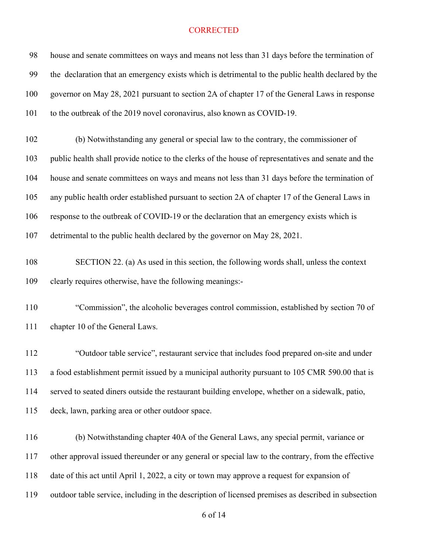| 98  | house and senate committees on ways and means not less than 31 days before the termination of       |
|-----|-----------------------------------------------------------------------------------------------------|
| 99  | the declaration that an emergency exists which is detrimental to the public health declared by the  |
| 100 | governor on May 28, 2021 pursuant to section 2A of chapter 17 of the General Laws in response       |
| 101 | to the outbreak of the 2019 novel coronavirus, also known as COVID-19.                              |
| 102 | (b) Notwithstanding any general or special law to the contrary, the commissioner of                 |
| 103 | public health shall provide notice to the clerks of the house of representatives and senate and the |
| 104 | house and senate committees on ways and means not less than 31 days before the termination of       |
| 105 | any public health order established pursuant to section 2A of chapter 17 of the General Laws in     |
| 106 | response to the outbreak of COVID-19 or the declaration that an emergency exists which is           |
| 107 | detrimental to the public health declared by the governor on May 28, 2021.                          |
| 108 | SECTION 22. (a) As used in this section, the following words shall, unless the context              |
| 109 | clearly requires otherwise, have the following meanings:-                                           |
| 110 | "Commission", the alcoholic beverages control commission, established by section 70 of              |
| 111 | chapter 10 of the General Laws.                                                                     |
| 112 | "Outdoor table service", restaurant service that includes food prepared on-site and under           |
| 113 | a food establishment permit issued by a municipal authority pursuant to 105 CMR 590.00 that is      |
| 114 | served to seated diners outside the restaurant building envelope, whether on a sidewalk, patio,     |
| 115 | deck, lawn, parking area or other outdoor space.                                                    |
| 116 | (b) Notwithstanding chapter 40A of the General Laws, any special permit, variance or                |
| 117 | other approval issued thereunder or any general or special law to the contrary, from the effective  |
| 118 | date of this act until April 1, 2022, a city or town may approve a request for expansion of         |
| 119 | outdoor table service, including in the description of licensed premises as described in subsection |
|     |                                                                                                     |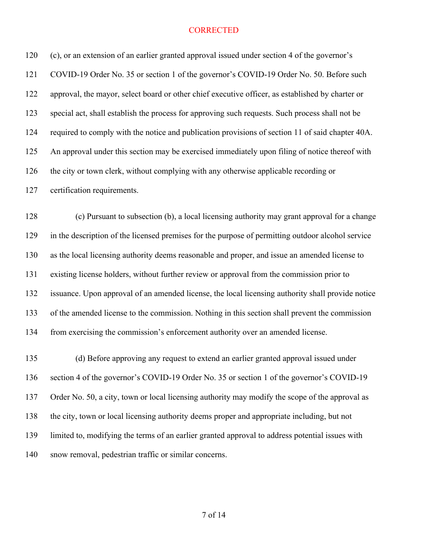(c), or an extension of an earlier granted approval issued under section 4 of the governor's COVID-19 Order No. 35 or section 1 of the governor's COVID-19 Order No. 50. Before such approval, the mayor, select board or other chief executive officer, as established by charter or special act, shall establish the process for approving such requests. Such process shall not be required to comply with the notice and publication provisions of section 11 of said chapter 40A. An approval under this section may be exercised immediately upon filing of notice thereof with 126 the city or town clerk, without complying with any otherwise applicable recording or certification requirements.

 (c) Pursuant to subsection (b), a local licensing authority may grant approval for a change in the description of the licensed premises for the purpose of permitting outdoor alcohol service as the local licensing authority deems reasonable and proper, and issue an amended license to existing license holders, without further review or approval from the commission prior to issuance. Upon approval of an amended license, the local licensing authority shall provide notice of the amended license to the commission. Nothing in this section shall prevent the commission from exercising the commission's enforcement authority over an amended license.

 (d) Before approving any request to extend an earlier granted approval issued under section 4 of the governor's COVID-19 Order No. 35 or section 1 of the governor's COVID-19 137 Order No. 50, a city, town or local licensing authority may modify the scope of the approval as the city, town or local licensing authority deems proper and appropriate including, but not limited to, modifying the terms of an earlier granted approval to address potential issues with snow removal, pedestrian traffic or similar concerns.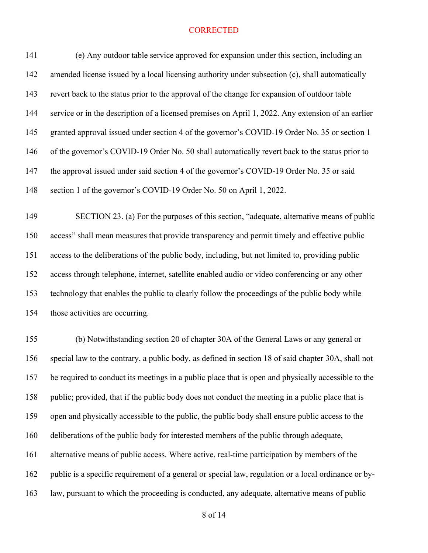(e) Any outdoor table service approved for expansion under this section, including an 142 amended license issued by a local licensing authority under subsection (c), shall automatically revert back to the status prior to the approval of the change for expansion of outdoor table service or in the description of a licensed premises on April 1, 2022. Any extension of an earlier granted approval issued under section 4 of the governor's COVID-19 Order No. 35 or section 1 of the governor's COVID-19 Order No. 50 shall automatically revert back to the status prior to the approval issued under said section 4 of the governor's COVID-19 Order No. 35 or said section 1 of the governor's COVID-19 Order No. 50 on April 1, 2022.

 SECTION 23. (a) For the purposes of this section, "adequate, alternative means of public access" shall mean measures that provide transparency and permit timely and effective public access to the deliberations of the public body, including, but not limited to, providing public access through telephone, internet, satellite enabled audio or video conferencing or any other technology that enables the public to clearly follow the proceedings of the public body while those activities are occurring.

 (b) Notwithstanding section 20 of chapter 30A of the General Laws or any general or special law to the contrary, a public body, as defined in section 18 of said chapter 30A, shall not be required to conduct its meetings in a public place that is open and physically accessible to the 158 public; provided, that if the public body does not conduct the meeting in a public place that is open and physically accessible to the public, the public body shall ensure public access to the deliberations of the public body for interested members of the public through adequate, alternative means of public access. Where active, real-time participation by members of the public is a specific requirement of a general or special law, regulation or a local ordinance or by-law, pursuant to which the proceeding is conducted, any adequate, alternative means of public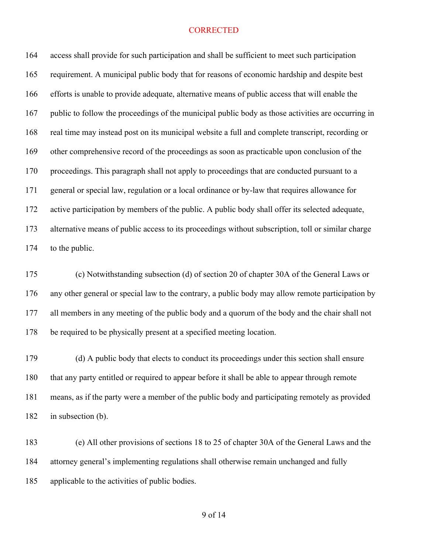access shall provide for such participation and shall be sufficient to meet such participation requirement. A municipal public body that for reasons of economic hardship and despite best efforts is unable to provide adequate, alternative means of public access that will enable the public to follow the proceedings of the municipal public body as those activities are occurring in real time may instead post on its municipal website a full and complete transcript, recording or other comprehensive record of the proceedings as soon as practicable upon conclusion of the proceedings. This paragraph shall not apply to proceedings that are conducted pursuant to a general or special law, regulation or a local ordinance or by-law that requires allowance for active participation by members of the public. A public body shall offer its selected adequate, alternative means of public access to its proceedings without subscription, toll or similar charge to the public.

 (c) Notwithstanding subsection (d) of section 20 of chapter 30A of the General Laws or any other general or special law to the contrary, a public body may allow remote participation by all members in any meeting of the public body and a quorum of the body and the chair shall not be required to be physically present at a specified meeting location.

 (d) A public body that elects to conduct its proceedings under this section shall ensure that any party entitled or required to appear before it shall be able to appear through remote means, as if the party were a member of the public body and participating remotely as provided in subsection (b).

 (e) All other provisions of sections 18 to 25 of chapter 30A of the General Laws and the attorney general's implementing regulations shall otherwise remain unchanged and fully applicable to the activities of public bodies.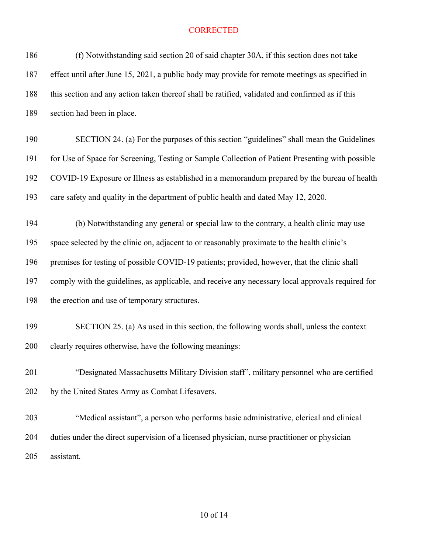| (f) Notwithstanding said section 20 of said chapter 30A, if this section does not take            |
|---------------------------------------------------------------------------------------------------|
| effect until after June 15, 2021, a public body may provide for remote meetings as specified in   |
| this section and any action taken thereof shall be ratified, validated and confirmed as if this   |
| section had been in place.                                                                        |
| SECTION 24. (a) For the purposes of this section "guidelines" shall mean the Guidelines           |
| for Use of Space for Screening, Testing or Sample Collection of Patient Presenting with possible  |
| COVID-19 Exposure or Illness as established in a memorandum prepared by the bureau of health      |
| care safety and quality in the department of public health and dated May 12, 2020.                |
| (b) Notwithstanding any general or special law to the contrary, a health clinic may use           |
| space selected by the clinic on, adjacent to or reasonably proximate to the health clinic's       |
| premises for testing of possible COVID-19 patients; provided, however, that the clinic shall      |
| comply with the guidelines, as applicable, and receive any necessary local approvals required for |
| the erection and use of temporary structures.                                                     |
| SECTION 25. (a) As used in this section, the following words shall, unless the context            |
| clearly requires otherwise, have the following meanings:                                          |
| "Designated Massachusetts Military Division staff", military personnel who are certified          |
| by the United States Army as Combat Lifesavers.                                                   |
| "Medical assistant", a person who performs basic administrative, clerical and clinical            |
| duties under the direct supervision of a licensed physician, nurse practitioner or physician      |
| assistant.                                                                                        |
|                                                                                                   |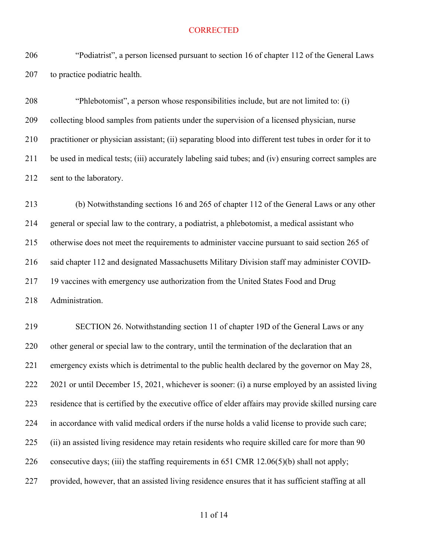"Podiatrist", a person licensed pursuant to section 16 of chapter 112 of the General Laws to practice podiatric health.

 "Phlebotomist", a person whose responsibilities include, but are not limited to: (i) collecting blood samples from patients under the supervision of a licensed physician, nurse practitioner or physician assistant; (ii) separating blood into different test tubes in order for it to be used in medical tests; (iii) accurately labeling said tubes; and (iv) ensuring correct samples are sent to the laboratory.

 (b) Notwithstanding sections 16 and 265 of chapter 112 of the General Laws or any other general or special law to the contrary, a podiatrist, a phlebotomist, a medical assistant who otherwise does not meet the requirements to administer vaccine pursuant to said section 265 of said chapter 112 and designated Massachusetts Military Division staff may administer COVID- 19 vaccines with emergency use authorization from the United States Food and Drug Administration.

 SECTION 26. Notwithstanding section 11 of chapter 19D of the General Laws or any other general or special law to the contrary, until the termination of the declaration that an emergency exists which is detrimental to the public health declared by the governor on May 28, 2021 or until December 15, 2021, whichever is sooner: (i) a nurse employed by an assisted living residence that is certified by the executive office of elder affairs may provide skilled nursing care in accordance with valid medical orders if the nurse holds a valid license to provide such care; (ii) an assisted living residence may retain residents who require skilled care for more than 90 consecutive days; (iii) the staffing requirements in 651 CMR 12.06(5)(b) shall not apply; provided, however, that an assisted living residence ensures that it has sufficient staffing at all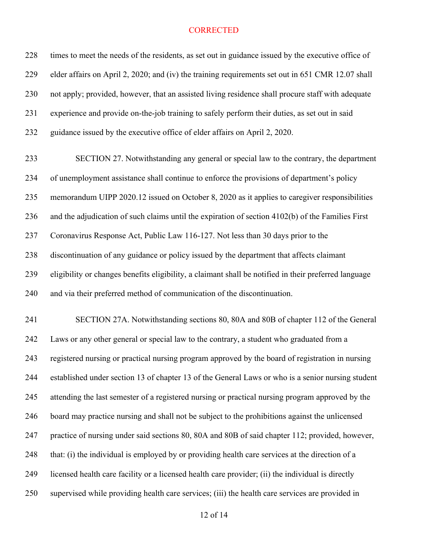| 228 | times to meet the needs of the residents, as set out in guidance issued by the executive office of    |
|-----|-------------------------------------------------------------------------------------------------------|
| 229 | elder affairs on April 2, 2020; and (iv) the training requirements set out in 651 CMR 12.07 shall     |
| 230 | not apply; provided, however, that an assisted living residence shall procure staff with adequate     |
| 231 | experience and provide on-the-job training to safely perform their duties, as set out in said         |
| 232 | guidance issued by the executive office of elder affairs on April 2, 2020.                            |
| 233 | SECTION 27. Notwithstanding any general or special law to the contrary, the department                |
| 234 | of unemployment assistance shall continue to enforce the provisions of department's policy            |
| 235 | memorandum UIPP 2020.12 issued on October 8, 2020 as it applies to caregiver responsibilities         |
| 236 | and the adjudication of such claims until the expiration of section 4102(b) of the Families First     |
| 237 | Coronavirus Response Act, Public Law 116-127. Not less than 30 days prior to the                      |
| 238 | discontinuation of any guidance or policy issued by the department that affects claimant              |
| 239 | eligibility or changes benefits eligibility, a claimant shall be notified in their preferred language |
| 240 | and via their preferred method of communication of the discontinuation.                               |
| 241 | SECTION 27A. Notwithstanding sections 80, 80A and 80B of chapter 112 of the General                   |
| 242 | Laws or any other general or special law to the contrary, a student who graduated from a              |
| 243 | registered nursing or practical nursing program approved by the board of registration in nursing      |
| 244 | established under section 13 of chapter 13 of the General Laws or who is a senior nursing student     |
| 245 | attending the last semester of a registered nursing or practical nursing program approved by the      |
| 246 | board may practice nursing and shall not be subject to the prohibitions against the unlicensed        |
| 247 | practice of nursing under said sections 80, 80A and 80B of said chapter 112; provided, however,       |
| 248 | that: (i) the individual is employed by or providing health care services at the direction of a       |
| 249 | licensed health care facility or a licensed health care provider; (ii) the individual is directly     |
| 250 | supervised while providing health care services; (iii) the health care services are provided in       |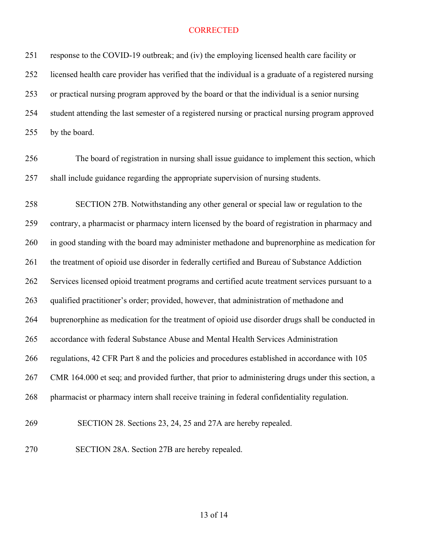| 251 | response to the COVID-19 outbreak; and (iv) the employing licensed health care facility or           |
|-----|------------------------------------------------------------------------------------------------------|
| 252 | licensed health care provider has verified that the individual is a graduate of a registered nursing |
| 253 | or practical nursing program approved by the board or that the individual is a senior nursing        |
| 254 | student attending the last semester of a registered nursing or practical nursing program approved    |
| 255 | by the board.                                                                                        |
| 256 | The board of registration in nursing shall issue guidance to implement this section, which           |
| 257 | shall include guidance regarding the appropriate supervision of nursing students.                    |
| 258 | SECTION 27B. Notwithstanding any other general or special law or regulation to the                   |
| 259 | contrary, a pharmacist or pharmacy intern licensed by the board of registration in pharmacy and      |
| 260 | in good standing with the board may administer methadone and buprenorphine as medication for         |
| 261 | the treatment of opioid use disorder in federally certified and Bureau of Substance Addiction        |
| 262 | Services licensed opioid treatment programs and certified acute treatment services pursuant to a     |
| 263 | qualified practitioner's order; provided, however, that administration of methadone and              |
| 264 | buprenorphine as medication for the treatment of opioid use disorder drugs shall be conducted in     |
| 265 | accordance with federal Substance Abuse and Mental Health Services Administration                    |
| 266 | regulations, 42 CFR Part 8 and the policies and procedures established in accordance with 105        |
| 267 | CMR 164.000 et seq; and provided further, that prior to administering drugs under this section, a    |
| 268 | pharmacist or pharmacy intern shall receive training in federal confidentiality regulation.          |
| 269 | SECTION 28. Sections 23, 24, 25 and 27A are hereby repealed.                                         |
| 270 | SECTION 28A. Section 27B are hereby repealed.                                                        |